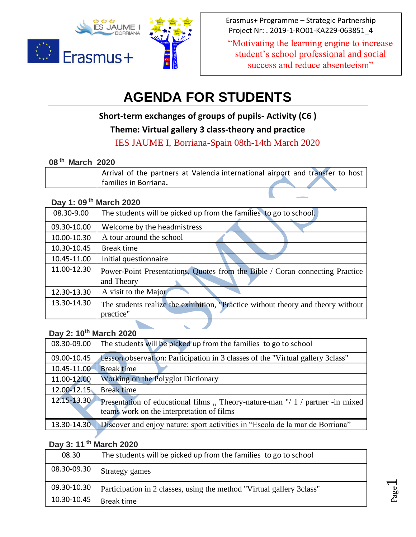

Erasmus+ Programme – Strategic Partnership Project Nr: . 2019-1-RO01-KA229-063851\_4

"Motivating the learning engine to increase student's school professional and social success and reduce absenteeism"

# **AGENDA FOR STUDENTS**

**Short-term exchanges of groups of pupils- Activity (C6 )**

**Theme: Virtual gallery 3 class-theory and practice**

IES JAUME I, Borriana-Spain 08th-14th March 2020

 $\overline{\phantom{a}}$ 

#### **08 th March 2020**

| Arrival of the partners at Valencia international airport and transfer to host |  |
|--------------------------------------------------------------------------------|--|
| families in Borriana.                                                          |  |

# **Day 1: 09 th March 2020**

| 08.30-9.00  | The students will be picked up from the families to go to school.                             |
|-------------|-----------------------------------------------------------------------------------------------|
| 09.30-10.00 | Welcome by the headmistress                                                                   |
| 10.00-10.30 | A tour around the school                                                                      |
| 10.30-10.45 | Break time                                                                                    |
| 10.45-11.00 | Initial questionnaire                                                                         |
| 11.00-12.30 | Power-Point Presentations, Quotes from the Bible / Coran connecting Practice<br>and Theory    |
| 12.30-13.30 | A visit to the Major                                                                          |
| 13.30-14.30 | The students realize the exhibition, "Practice without theory and theory without<br>practice" |

# **Day 2: 10th March 2020**

| 08.30-09.00 | The students will be picked up from the families to go to school                                                           |
|-------------|----------------------------------------------------------------------------------------------------------------------------|
| 09.00-10.45 | Lesson observation: Participation in 3 classes of the "Virtual gallery 3class"                                             |
| 10.45-11.00 | <b>Break</b> time                                                                                                          |
| 11.00-12.00 | Working on the Polyglot Dictionary                                                                                         |
| 12.00-12.15 | <b>Break time</b>                                                                                                          |
| 12.15-13.30 | Presentation of educational films, Theory-nature-man "/ 1 / partner -in mixed<br>teams work on the interpretation of films |
|             | 13.30-14.30 Discover and enjoy nature: sport activities in "Escola de la mar de Borriana"                                  |

## **Day 3: 11 th March 2020**

| 08.30       | The students will be picked up from the families to go to school       |
|-------------|------------------------------------------------------------------------|
| 08.30-09.30 | Strategy games                                                         |
| 09.30-10.30 | Participation in 2 classes, using the method "Virtual gallery 3 class" |
| 10.30-10.45 | Break time                                                             |